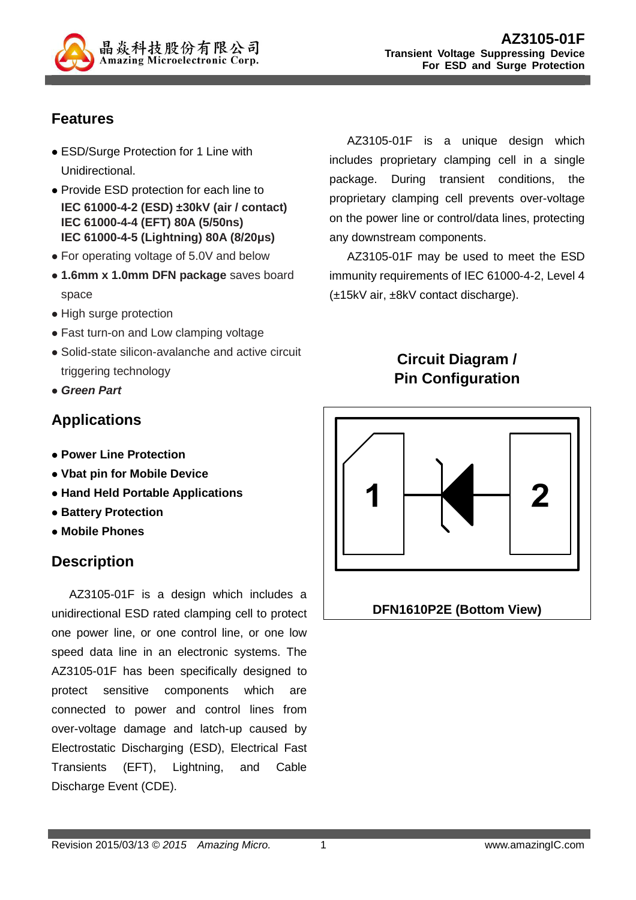

# **Features**

- ESD/Surge Protection for 1 Line with Unidirectional.
- Provide ESD protection for each line to **IEC 61000-4-2 (ESD) ±30kV (air / contact) IEC 61000-4-4 (EFT) 80A (5/50ns) IEC 61000-4-5 (Lightning) 80A (8/20µs)**
- For operating voltage of 5.0V and below
- **1.6mm x 1.0mm DFN package** saves board space
- High surge protection
- Fast turn-on and Low clamping voltage
- Solid-state silicon-avalanche and active circuit triggering technology
- **Green Part**

## **Applications**

- **Power Line Protection**
- **Vbat pin for Mobile Device**
- **Hand Held Portable Applications**
- **Battery Protection**
- **Mobile Phones**

# **Description**

AZ3105-01F is a design which includes a unidirectional ESD rated clamping cell to protect one power line, or one control line, or one low speed data line in an electronic systems. The AZ3105-01F has been specifically designed to protect sensitive components which are connected to power and control lines from over-voltage damage and latch-up caused by Electrostatic Discharging (ESD), Electrical Fast Transients (EFT), Lightning, and Cable Discharge Event (CDE).

AZ3105-01F is a unique design which includes proprietary clamping cell in a single package. During transient conditions, the proprietary clamping cell prevents over-voltage on the power line or control/data lines, protecting any downstream components.

AZ3105-01F may be used to meet the ESD immunity requirements of IEC 61000-4-2, Level 4 (±15kV air, ±8kV contact discharge).

# **Circuit Diagram / Pin Configuration**

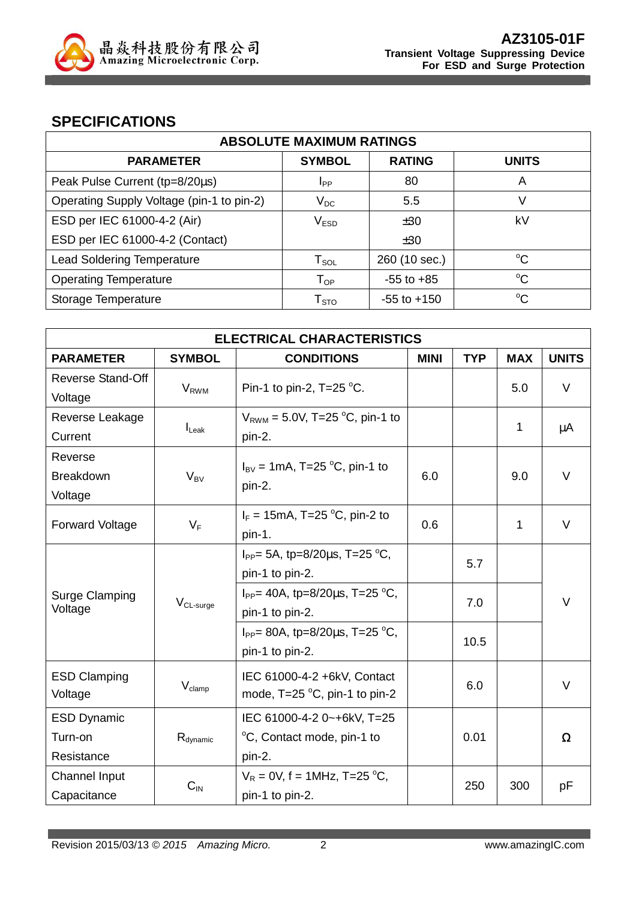

### **SPECIFICATIONS**

| <b>ABSOLUTE MAXIMUM RATINGS</b>           |                            |                 |              |  |
|-------------------------------------------|----------------------------|-----------------|--------------|--|
| <b>PARAMETER</b>                          | <b>SYMBOL</b>              | <b>RATING</b>   | <b>UNITS</b> |  |
| Peak Pulse Current (tp=8/20µs)            | <b>I</b> pp                | 80              | A            |  |
| Operating Supply Voltage (pin-1 to pin-2) | $V_{DC}$                   | 5.5             | V            |  |
| ESD per IEC 61000-4-2 (Air)               | V <sub>ESD</sub>           | ±30             | kV           |  |
| ESD per IEC 61000-4-2 (Contact)           |                            | ±30             |              |  |
| <b>Lead Soldering Temperature</b>         | $T_{\texttt{SOL}}$         | 260 (10 sec.)   | $^{\circ}C$  |  |
| <b>Operating Temperature</b>              | $\mathsf{T}_{\mathsf{OP}}$ | $-55$ to $+85$  | $^{\circ}C$  |  |
| Storage Temperature                       | T <sub>STO</sub>           | $-55$ to $+150$ | $^{\circ}C$  |  |

| <b>ELECTRICAL CHARACTERISTICS</b>                    |                                           |                                           |             |            |            |              |
|------------------------------------------------------|-------------------------------------------|-------------------------------------------|-------------|------------|------------|--------------|
| <b>PARAMETER</b>                                     | <b>SYMBOL</b>                             | <b>CONDITIONS</b>                         | <b>MINI</b> | <b>TYP</b> | <b>MAX</b> | <b>UNITS</b> |
| Reverse Stand-Off                                    | <b>V</b> <sub>RWM</sub>                   | Pin-1 to pin-2, $T=25$ °C.                |             |            | 5.0        | V            |
| Voltage                                              |                                           |                                           |             |            |            |              |
| Reverse Leakage                                      | $I_{\text{L}eak}$                         | $V_{RWM} = 5.0V$ , T=25 °C, pin-1 to      |             |            | 1          | μA           |
| Current                                              |                                           | pin-2.                                    |             |            |            |              |
| Reverse                                              |                                           | $I_{\text{BV}}$ = 1mA, T=25 °C, pin-1 to  |             |            |            |              |
| <b>Breakdown</b>                                     | $V_{BV}$                                  | pin-2.                                    | 6.0         |            | 9.0        | $\vee$       |
| Voltage                                              |                                           |                                           |             |            |            |              |
| <b>Forward Voltage</b><br>$V_F$                      |                                           | $I_F = 15 \text{mA}$ , T=25 °C, pin-2 to  | 0.6         |            | 1          | $\vee$       |
|                                                      |                                           | pin-1.                                    |             |            |            |              |
| <b>Surge Clamping</b><br>$V_{CL-surge}$              |                                           | $I_{PP}$ = 5A, tp=8/20 $\mu$ s, T=25 °C,  |             | 5.7        |            |              |
|                                                      |                                           | pin-1 to pin-2.                           |             |            |            |              |
|                                                      | $I_{PP}$ = 40A, tp=8/20 $\mu$ s, T=25 °C, |                                           | 7.0         |            | $\vee$     |              |
| Voltage                                              |                                           | pin-1 to pin-2.                           |             |            |            |              |
|                                                      |                                           | $I_{PP}$ = 80A, tp=8/20 $\mu$ s, T=25 °C, |             | 10.5       |            |              |
|                                                      |                                           | pin-1 to pin-2.                           |             |            |            |              |
| <b>ESD Clamping</b><br>$V_{\text{clamp}}$<br>Voltage |                                           | IEC 61000-4-2 +6kV, Contact               |             |            |            |              |
|                                                      |                                           | mode, $T=25 \degree C$ , pin-1 to pin-2   |             | 6.0        |            | V            |
| <b>ESD Dynamic</b>                                   |                                           | IEC 61000-4-2 0~+6kV, T=25                |             |            |            |              |
| Turn-on                                              | $R_{\text{dynamic}}$                      | °C, Contact mode, pin-1 to                |             | 0.01       |            | Ω            |
| Resistance                                           |                                           | pin-2.                                    |             |            |            |              |
| Channel Input                                        |                                           | $V_R = 0V$ , f = 1MHz, T=25 °C,           |             |            |            |              |
| Capacitance                                          | $C_{IN}$                                  | pin-1 to pin-2.                           |             | 250        | 300        | рF           |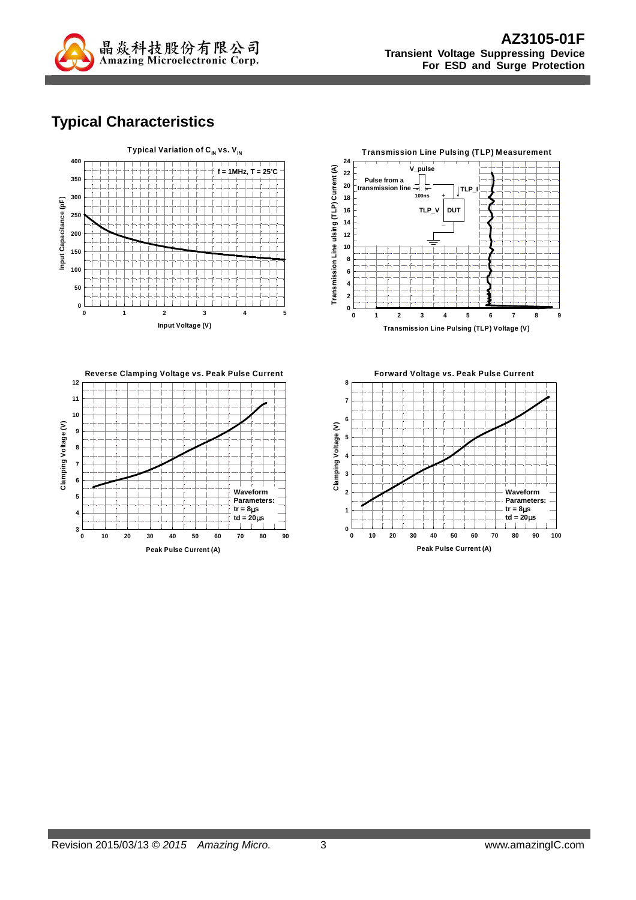

# **Typical Characteristics**







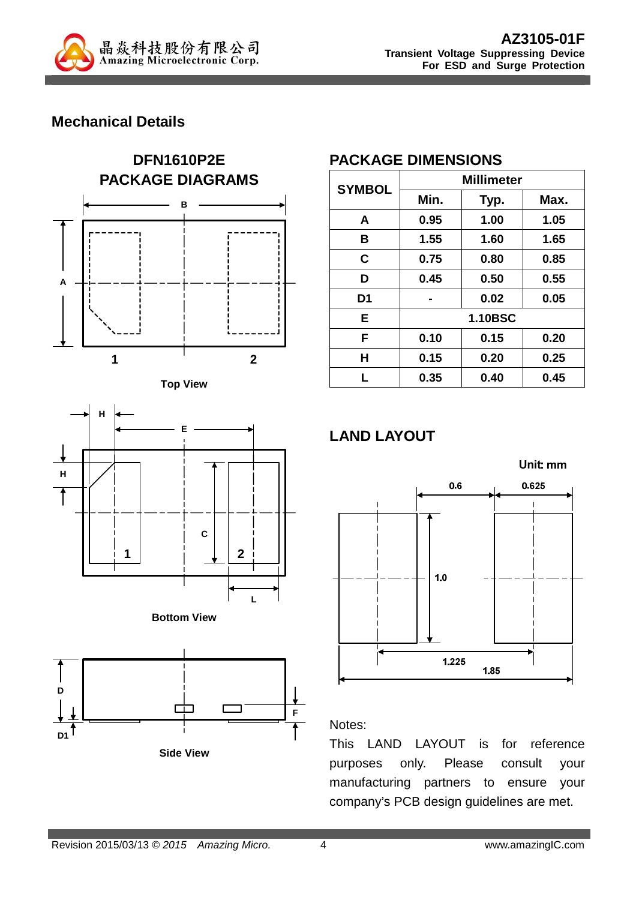

### **Mechanical Details**











**Side View**

### **PACKAGE DIMENSIONS**

| <b>SYMBOL</b>  | <b>Millimeter</b> |      |      |  |
|----------------|-------------------|------|------|--|
|                | Min.              | Typ. | Max. |  |
| A              | 0.95              | 1.00 | 1.05 |  |
| в              | 1.55              | 1.60 | 1.65 |  |
| C              | 0.75              | 0.80 | 0.85 |  |
| D              | 0.45              | 0.50 | 0.55 |  |
| D <sub>1</sub> |                   | 0.02 | 0.05 |  |
| E              | <b>1.10BSC</b>    |      |      |  |
| F              | 0.10              | 0.15 | 0.20 |  |
| H              | 0.15              | 0.20 | 0.25 |  |
| L              | 0.35              | 0.40 | 0.45 |  |

# **LAND LAYOUT**



#### Notes:

This LAND LAYOUT is for reference purposes only. Please consult your manufacturing partners to ensure your company's PCB design guidelines are met.